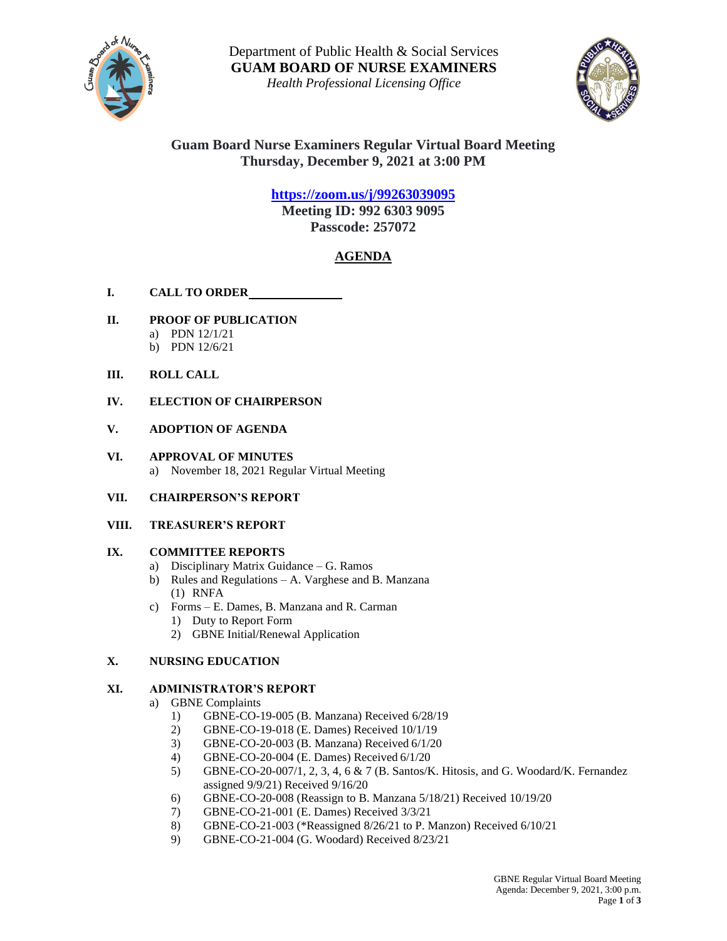

Department of Public Health & Social Services **GUAM BOARD OF NURSE EXAMINERS**

*Health Professional Licensing Office*



# **Guam Board Nurse Examiners Regular Virtual Board Meeting Thursday, December 9, 2021 at 3:00 PM**

# **<https://zoom.us/j/99263039095>**

**Meeting ID: 992 6303 9095 Passcode: 257072**

# **AGENDA**

- **I. CALL TO ORDER**
- **II. PROOF OF PUBLICATION**
	- a) PDN 12/1/21
	- b) PDN 12/6/21
- **III. ROLL CALL**
- **IV. ELECTION OF CHAIRPERSON**

### **V. ADOPTION OF AGENDA**

### **VI. APPROVAL OF MINUTES** a) November 18, 2021 Regular Virtual Meeting

### **VII. CHAIRPERSON'S REPORT**

### **VIII. TREASURER'S REPORT**

# **IX. COMMITTEE REPORTS**

- a) Disciplinary Matrix Guidance G. Ramos
- b) Rules and Regulations A. Varghese and B. Manzana (1) RNFA
- c) Forms E. Dames, B. Manzana and R. Carman 1) Duty to Report Form
	- 2) GBNE Initial/Renewal Application

# **X. NURSING EDUCATION**

# **XI. ADMINISTRATOR'S REPORT**

- a) GBNE Complaints
	- 1) GBNE-CO-19-005 (B. Manzana) Received 6/28/19
	- 2) GBNE-CO-19-018 (E. Dames) Received 10/1/19
	- 3) GBNE-CO-20-003 (B. Manzana) Received 6/1/20
	- 4) GBNE-CO-20-004 (E. Dames) Received 6/1/20
	- 5) GBNE-CO-20-007/1, 2, 3, 4, 6 & 7 (B. Santos/K. Hitosis, and G. Woodard/K. Fernandez assigned 9/9/21) Received 9/16/20
	- 6) GBNE-CO-20-008 (Reassign to B. Manzana 5/18/21) Received 10/19/20
	- 7) GBNE-CO-21-001 (E. Dames) Received 3/3/21
	- 8) GBNE-CO-21-003 (\*Reassigned 8/26/21 to P. Manzon) Received 6/10/21
	- 9) GBNE-CO-21-004 (G. Woodard) Received 8/23/21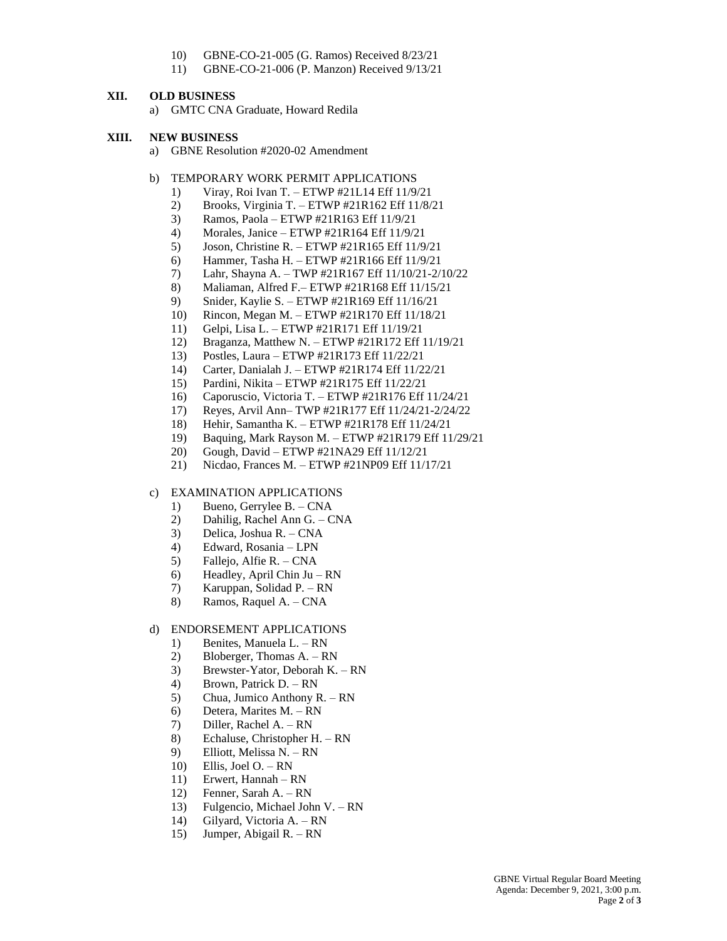- 10) GBNE-CO-21-005 (G. Ramos) Received 8/23/21
- 11) GBNE-CO-21-006 (P. Manzon) Received 9/13/21

#### **XII. OLD BUSINESS**

a) GMTC CNA Graduate, Howard Redila

#### **XIII. NEW BUSINESS**

- a) GBNE Resolution #2020-02 Amendment
- b) TEMPORARY WORK PERMIT APPLICATIONS
	- 1) Viray, Roi Ivan T. ETWP #21L14 Eff 11/9/21
	- 2) Brooks, Virginia T. ETWP #21R162 Eff 11/8/21
	- 3) Ramos, Paola ETWP #21R163 Eff 11/9/21
	- 4) Morales, Janice ETWP #21R164 Eff 11/9/21
	- 5) Joson, Christine R. ETWP #21R165 Eff 11/9/21
	- 6) Hammer, Tasha H. ETWP #21R166 Eff 11/9/21
	- 7) Lahr, Shayna A. TWP #21R167 Eff 11/10/21-2/10/22
	- 8) Maliaman, Alfred F.– ETWP #21R168 Eff 11/15/21
	- 9) Snider, Kaylie S. ETWP #21R169 Eff 11/16/21
	- 10) Rincon, Megan M. ETWP #21R170 Eff 11/18/21
	- 11) Gelpi, Lisa L. ETWP #21R171 Eff 11/19/21
	- 12) Braganza, Matthew N. ETWP #21R172 Eff 11/19/21
	- 13) Postles, Laura ETWP #21R173 Eff 11/22/21
	- 14) Carter, Danialah J. ETWP #21R174 Eff 11/22/21
	- 15) Pardini, Nikita ETWP #21R175 Eff 11/22/21
	- 16) Caporuscio, Victoria T. ETWP #21R176 Eff 11/24/21
	- 17) Reyes, Arvil Ann– TWP #21R177 Eff 11/24/21-2/24/22
	- 18) Hehir, Samantha K. ETWP #21R178 Eff 11/24/21
	- 19) Baquing, Mark Rayson M. ETWP #21R179 Eff 11/29/21
	- 20) Gough, David ETWP #21NA29 Eff 11/12/21
	- 21) Nicdao, Frances M. ETWP #21NP09 Eff 11/17/21

#### c) EXAMINATION APPLICATIONS

- 1) Bueno, Gerrylee B. CNA
- 2) Dahilig, Rachel Ann G. CNA
- 3) Delica, Joshua R. CNA
- 4) Edward, Rosania LPN
- 5) Fallejo, Alfie R. CNA
- 6) Headley, April Chin Ju RN
- 7) Karuppan, Solidad P. RN
- 8) Ramos, Raquel A. CNA

#### d) ENDORSEMENT APPLICATIONS

- 1) Benites, Manuela L. RN
- 2) Bloberger, Thomas A. RN
- 3) Brewster-Yator, Deborah K. RN
- 4) Brown, Patrick D. RN
- 5) Chua, Jumico Anthony R. RN
- 6) Detera, Marites M. RN
- 7) Diller, Rachel A. RN
- 8) Echaluse, Christopher H. RN
- 9) Elliott, Melissa N. RN
- 10) Ellis, Joel O. RN
- 11) Erwert, Hannah RN
- 12) Fenner, Sarah A. RN
- 13) Fulgencio, Michael John V. RN
- 14) Gilyard, Victoria A. RN
- 15) Jumper, Abigail R. RN